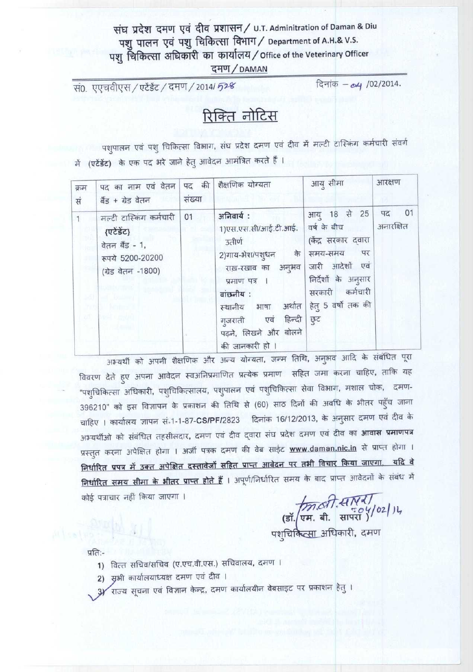## संघ प्रदेश दमण एवं दीव प्रशासन / U.T. Adminitration of Daman & Diu पशु पालन एवं पशु चिकित्सा विभाग / Department of A.H.& V.S. पशु चिकित्सा अधिकारी का कार्यालय / Office of the Veterinary Officer दमण/DAMAN

सं0. एएचवीएस / एटेंडेंट / दमण / 2014/ 528

दिनांक - 04 /02/2014.

# रिक्ति नोटिस

पशुपालन एवं पशु चिकित्सा विभाग, संघ प्रदेश दमण एवं दीव में मल्टी टास्किंग कर्मचारी संवर्ग में (एटेंडेंट) के एक पद भरे जाने हेतु आवेदन आमंत्रित करते हैं ।

| क्रम<br>सं | पद का नाम एवं वेतन<br>बैंड + ग्रेड वेतन                                                           | पद की<br>संख्या | शैक्षणिक योग्यता                                                                                                                                                                                                 | आयु सीमा                                                                                                                                                      | आरक्षण                |
|------------|---------------------------------------------------------------------------------------------------|-----------------|------------------------------------------------------------------------------------------------------------------------------------------------------------------------------------------------------------------|---------------------------------------------------------------------------------------------------------------------------------------------------------------|-----------------------|
|            | मल्टी टास्किंग कर्मचारी<br>{एटेंडेंट}<br>वेतन बैंड - 1,<br>रूपये 5200-20200<br>(ग्रेड वेतन -1800) | 01              | अनिवार्य:<br>1)एस.एस.सी/आई.टी.आई.<br>उतीर्ण<br>2)गाय-भेश/पश्धन<br>के<br>राख़-रखाव का अनुभव<br>प्रमाण पत्र ।<br>वांछनीय:<br>स्थानीय भाषा अर्थात<br>गुजराती एवं हिन्दी<br>पढ़ने, लिखने और बोलने<br>की जानकारी हो । | आयु 18 से 25<br>वर्ष के बीच<br>(केंद्र सरकार दवारा<br>पर<br>समय-समय<br>जारी आदेशों एवं<br>निर्देशों के अनुसार<br>सरकारी कर्मचारी<br>हेतु 5 वर्षो तक की<br>छुट | 01<br>पद<br>अनारक्षित |

अभ्यर्थी को अपनी शैक्षणिक और अन्य योग्यता, जन्म तिथि, अनुभव आदि के संबंधित पूरा विवरण देते हुए अपना आवेदन स्वअनिप्रमाणित प्रत्येक प्रमाण सहित जमा करना चाहिए, ताकि यह "पशुचिकित्सा अधिकारी, पशुचिकित्सालय, पशुपालन एवं पशुचिकित्सा सेवा विभाग, मशाल चोक, दमण-396210" को इस विज्ञापन के प्रकाशन की तिथि से (60) साठ दिनों की अवधि के भीतर पहुँच जाना चाहिए । कार्यालय ज्ञापन सं.1-1-87-CS/PF/2823 दिनांक 16/12/2013, के अनुसार दमण एवं दीव के अभ्यर्थीओ को संबंधित तहसीलदार, दमण एवं दीव द्वारा संघ प्रदेश दमण एवं दीव का **आवास प्रमाणपत्र** प्रस्तुत करना अपेक्षित होगा । अर्जी पत्रक दमण की वेब साईट **www.daman.nic.in** से प्राप्त होगा । निर्धारित प्रपत्र में उक्त अपेक्षित दस्तावेजों सहित प्राप्त आवेदन पर तभी विचार किया जाएगा. यदि वे निर्धारित समय सीमा के भीतर प्राप्त होते हैं । अपूर्ण/निर्धारित समय के बाद प्राप्त आवेदनों के संबंध में कोई पत्राचार नहीं किया जाएगा ।

(डॉ. एम. बी. सापरा)<br>(डॉ. एम. बी. सापरा)<br>पशुचिकित्सा अधिकारी, दमण

प्रति:-

- 1) वित्त सचिव/सचिव (ए.एच.वी.एस.) सचिवालय, दमण ।
- 2) सृभी कार्यालयाध्यक्ष दमण एवं दीव ।
- 3) राज्य सूचना एवं विज्ञान केन्द्र, दमण कार्यालयीन वेबसाइट पर प्रकाशन हेतु ।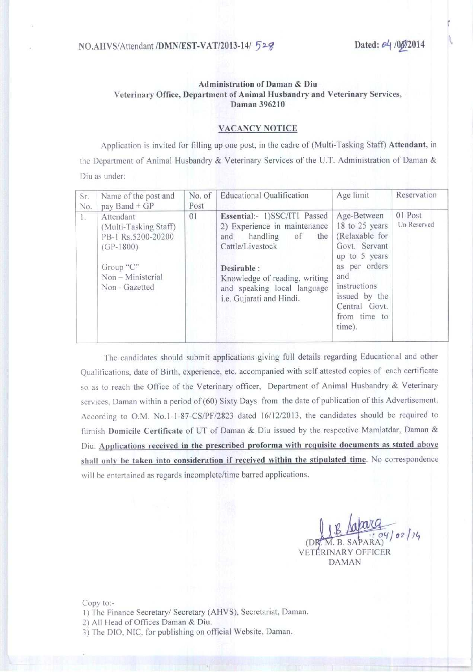### **Administration of Daman & Diu** Veterinary Office, Department of Animal Husbandry and Veterinary Services, Daman 396210

#### VACANCY NOTICE

Application is invited for filling up one post, in the cadre of (Multi-Tasking Staff) Attendant, in the Department of Animal Husbandry & Veterinary Services of the U.T. Administration of Daman & Diu as under:

| Sr.<br>No. | Name of the post and<br>pay Band $+GP$                                                                                      | No. of<br>Post | <b>Educational Qualification</b>                                                                                                                                                                                            | Age limit                                                                                                                                                                               | Reservation            |
|------------|-----------------------------------------------------------------------------------------------------------------------------|----------------|-----------------------------------------------------------------------------------------------------------------------------------------------------------------------------------------------------------------------------|-----------------------------------------------------------------------------------------------------------------------------------------------------------------------------------------|------------------------|
| L.         | Attendant<br>(Multi-Tasking Staff)<br>PB-1 Rs.5200-20200<br>$(GP-1800)$<br>Group "C"<br>Non - Ministerial<br>Non - Gazetted | 01             | Essential:- 1)SSC/ITI Passed<br>2) Experience in maintenance<br>handling<br>the<br>of<br>and<br>Cattle/Livestock<br>Desirable :<br>Knowledge of reading, writing<br>and speaking local language<br>i.e. Gujarati and Hindi. | Age-Between<br>18 to 25 years<br>(Relaxable for<br>Govt. Servant<br>up to $5$ years<br>as per orders<br>and<br>instructions<br>issued by the<br>Central Govt.<br>from time to<br>time). | 01 Post<br>Un Reserved |

The candidates should submit applications giving full details regarding Educational and other Qualifications, date of Birth, experience, etc. accompanied with self attested copies of each certificate so as to reach the Office of the Veterinary officer, Department of Animal Husbandry & Veterinary services. Daman within a period of (60) Sixty Days from the date of publication of this Advertisement. According to O.M. No.1-1-87-CS/PF/2823 dated 16/12/2013, the candidates should be required to furnish Domicile Certificate of UT of Daman & Diu issued by the respective Mamlatdar, Daman & Diu. Applications **received in the prescribed proforma with requisite documents as stated above shall only be taken into consideration if received within the stipulated** time. No correspondence will be entertained as regards incomplete/time barred applications.

**(D** VET RINARY OFFICER DAMAN

Copy to:-

- **1)** The Finance Secretary/ Secretary (AHVS), Secretariat, Daman.
- **2) All Head** of Offices **Daman & Diu.**
- 3) The DlO, NIC, **for publishing on official Website** , **Daman.**